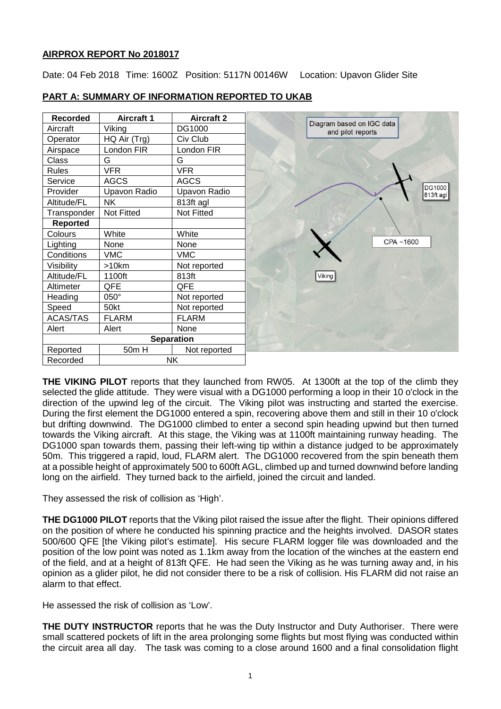# **AIRPROX REPORT No 2018017**

Date: 04 Feb 2018 Time: 1600Z Position: 5117N 00146W Location: Upavon Glider Site

| <b>Recorded</b> | <b>Aircraft 1</b> | <b>Aircraft 2</b> |  |
|-----------------|-------------------|-------------------|--|
| Aircraft        | Viking            | DG1000            |  |
| Operator        | HQ Air (Trg)      | Civ Club          |  |
| Airspace        | London FIR        | London FIR        |  |
| Class           | G                 | G                 |  |
| Rules           | <b>VFR</b>        | <b>VFR</b>        |  |
| Service         | <b>AGCS</b>       | <b>AGCS</b>       |  |
| Provider        | Upavon Radio      | Upavon Radio      |  |
| Altitude/FL     | NΚ                | 813ft agl         |  |
| Transponder     | Not Fitted        | <b>Not Fitted</b> |  |
| <b>Reported</b> |                   |                   |  |
| Colours         | White             | White             |  |
| Lighting        | None              | None              |  |
| Conditions      | <b>VMC</b>        | <b>VMC</b>        |  |
| Visibility      | >10km             | Not reported      |  |
| Altitude/FL     | 1100ft            | 813ft             |  |
| Altimeter       | QFE               | QFE               |  |
| Heading         | 050°              | Not reported      |  |
| Speed           | 50kt              | Not reported      |  |
| <b>ACAS/TAS</b> | <b>FLARM</b>      | <b>FLARM</b>      |  |
| Alert           | Alert             | None              |  |
|                 |                   | <b>Separation</b> |  |
| Reported        | 50m H             | Not reported      |  |
| Recorded        | NΚ                |                   |  |

# **PART A: SUMMARY OF INFORMATION REPORTED TO UKAB**

**THE VIKING PILOT** reports that they launched from RW05. At 1300ft at the top of the climb they selected the glide attitude. They were visual with a DG1000 performing a loop in their 10 o'clock in the direction of the upwind leg of the circuit. The Viking pilot was instructing and started the exercise. During the first element the DG1000 entered a spin, recovering above them and still in their 10 o'clock but drifting downwind. The DG1000 climbed to enter a second spin heading upwind but then turned towards the Viking aircraft. At this stage, the Viking was at 1100ft maintaining runway heading. The DG1000 span towards them, passing their left-wing tip within a distance judged to be approximately 50m. This triggered a rapid, loud, FLARM alert. The DG1000 recovered from the spin beneath them at a possible height of approximately 500 to 600ft AGL, climbed up and turned downwind before landing long on the airfield. They turned back to the airfield, joined the circuit and landed.

They assessed the risk of collision as 'High'.

**THE DG1000 PILOT** reports that the Viking pilot raised the issue after the flight. Their opinions differed on the position of where he conducted his spinning practice and the heights involved. DASOR states 500/600 QFE [the Viking pilot's estimate]. His secure FLARM logger file was downloaded and the position of the low point was noted as 1.1km away from the location of the winches at the eastern end of the field, and at a height of 813ft QFE. He had seen the Viking as he was turning away and, in his opinion as a glider pilot, he did not consider there to be a risk of collision. His FLARM did not raise an alarm to that effect.

He assessed the risk of collision as 'Low'.

**THE DUTY INSTRUCTOR** reports that he was the Duty Instructor and Duty Authoriser. There were small scattered pockets of lift in the area prolonging some flights but most flying was conducted within the circuit area all day. The task was coming to a close around 1600 and a final consolidation flight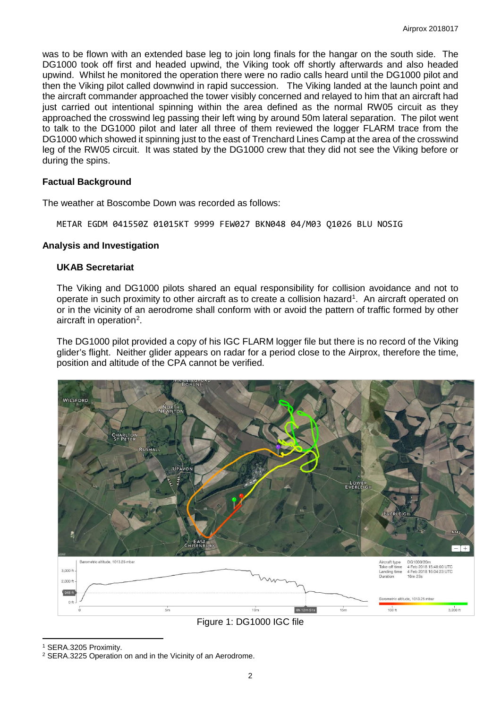was to be flown with an extended base leg to join long finals for the hangar on the south side. The DG1000 took off first and headed upwind, the Viking took off shortly afterwards and also headed upwind. Whilst he monitored the operation there were no radio calls heard until the DG1000 pilot and then the Viking pilot called downwind in rapid succession. The Viking landed at the launch point and the aircraft commander approached the tower visibly concerned and relayed to him that an aircraft had just carried out intentional spinning within the area defined as the normal RW05 circuit as they approached the crosswind leg passing their left wing by around 50m lateral separation. The pilot went to talk to the DG1000 pilot and later all three of them reviewed the logger FLARM trace from the DG1000 which showed it spinning just to the east of Trenchard Lines Camp at the area of the crosswind leg of the RW05 circuit. It was stated by the DG1000 crew that they did not see the Viking before or during the spins.

## **Factual Background**

The weather at Boscombe Down was recorded as follows:

METAR EGDM 041550Z 01015KT 9999 FEW027 BKN048 04/M03 Q1026 BLU NOSIG

### **Analysis and Investigation**

### **UKAB Secretariat**

The Viking and DG1000 pilots shared an equal responsibility for collision avoidance and not to operate in such proximity to other aircraft as to create a collision hazard<sup>[1](#page-1-0)</sup>. An aircraft operated on or in the vicinity of an aerodrome shall conform with or avoid the pattern of traffic formed by other aircraft in operation<sup>[2](#page-1-1)</sup>.

The DG1000 pilot provided a copy of his IGC FLARM logger file but there is no record of the Viking glider's flight. Neither glider appears on radar for a period close to the Airprox, therefore the time, position and altitude of the CPA cannot be verified.





l

<span id="page-1-0"></span><sup>1</sup> SERA.3205 Proximity.

<span id="page-1-1"></span><sup>2</sup> SERA.3225 Operation on and in the Vicinity of an Aerodrome.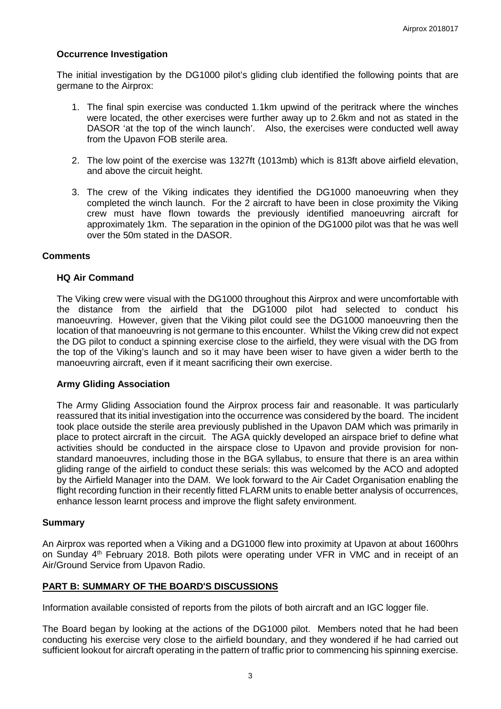## **Occurrence Investigation**

The initial investigation by the DG1000 pilot's gliding club identified the following points that are germane to the Airprox:

- 1. The final spin exercise was conducted 1.1km upwind of the peritrack where the winches were located, the other exercises were further away up to 2.6km and not as stated in the DASOR 'at the top of the winch launch'. Also, the exercises were conducted well away from the Upavon FOB sterile area.
- 2. The low point of the exercise was 1327ft (1013mb) which is 813ft above airfield elevation, and above the circuit height.
- 3. The crew of the Viking indicates they identified the DG1000 manoeuvring when they completed the winch launch. For the 2 aircraft to have been in close proximity the Viking crew must have flown towards the previously identified manoeuvring aircraft for approximately 1km. The separation in the opinion of the DG1000 pilot was that he was well over the 50m stated in the DASOR.

### **Comments**

### **HQ Air Command**

The Viking crew were visual with the DG1000 throughout this Airprox and were uncomfortable with the distance from the airfield that the DG1000 pilot had selected to conduct his manoeuvring. However, given that the Viking pilot could see the DG1000 manoeuvring then the location of that manoeuvring is not germane to this encounter. Whilst the Viking crew did not expect the DG pilot to conduct a spinning exercise close to the airfield, they were visual with the DG from the top of the Viking's launch and so it may have been wiser to have given a wider berth to the manoeuvring aircraft, even if it meant sacrificing their own exercise.

### **Army Gliding Association**

The Army Gliding Association found the Airprox process fair and reasonable. It was particularly reassured that its initial investigation into the occurrence was considered by the board. The incident took place outside the sterile area previously published in the Upavon DAM which was primarily in place to protect aircraft in the circuit. The AGA quickly developed an airspace brief to define what activities should be conducted in the airspace close to Upavon and provide provision for nonstandard manoeuvres, including those in the BGA syllabus, to ensure that there is an area within gliding range of the airfield to conduct these serials: this was welcomed by the ACO and adopted by the Airfield Manager into the DAM. We look forward to the Air Cadet Organisation enabling the flight recording function in their recently fitted FLARM units to enable better analysis of occurrences, enhance lesson learnt process and improve the flight safety environment.

#### **Summary**

An Airprox was reported when a Viking and a DG1000 flew into proximity at Upavon at about 1600hrs on Sunday 4<sup>th</sup> February 2018. Both pilots were operating under VFR in VMC and in receipt of an Air/Ground Service from Upavon Radio.

## **PART B: SUMMARY OF THE BOARD'S DISCUSSIONS**

Information available consisted of reports from the pilots of both aircraft and an IGC logger file.

The Board began by looking at the actions of the DG1000 pilot. Members noted that he had been conducting his exercise very close to the airfield boundary, and they wondered if he had carried out sufficient lookout for aircraft operating in the pattern of traffic prior to commencing his spinning exercise.